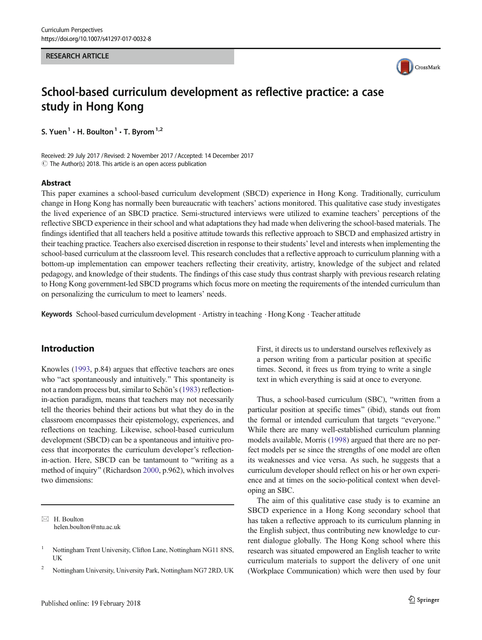#### RESEARCH ARTICLE



# School-based curriculum development as reflective practice: a case study in Hong Kong

S. Yuen<sup>1</sup>  $\cdot$  H. Boulton<sup>1</sup>  $\cdot$  T. Byrom<sup>1,2</sup>

Received: 29 July 2017 / Revised: 2 November 2017 /Accepted: 14 December 2017  $\odot$  The Author(s) 2018. This article is an open access publication

#### Abstract

This paper examines a school-based curriculum development (SBCD) experience in Hong Kong. Traditionally, curriculum change in Hong Kong has normally been bureaucratic with teachers' actions monitored. This qualitative case study investigates the lived experience of an SBCD practice. Semi-structured interviews were utilized to examine teachers' perceptions of the reflective SBCD experience in their school and what adaptations they had made when delivering the school-based materials. The findings identified that all teachers held a positive attitude towards this reflective approach to SBCD and emphasized artistry in their teaching practice. Teachers also exercised discretion in response to their students' level and interests when implementing the school-based curriculum at the classroom level. This research concludes that a reflective approach to curriculum planning with a bottom-up implementation can empower teachers reflecting their creativity, artistry, knowledge of the subject and related pedagogy, and knowledge of their students. The findings of this case study thus contrast sharply with previous research relating to Hong Kong government-led SBCD programs which focus more on meeting the requirements of the intended curriculum than on personalizing the curriculum to meet to learners' needs.

Keywords School-based curriculum development . Artistry in teaching . Hong Kong . Teacher attitude

## Introduction

Knowles ([1993](#page-10-0), p.84) argues that effective teachers are ones who "act spontaneously and intuitively." This spontaneity is not a random process but, similar to Schön's ([1983](#page-10-0)) reflectionin-action paradigm, means that teachers may not necessarily tell the theories behind their actions but what they do in the classroom encompasses their epistemology, experiences, and reflections on teaching. Likewise, school-based curriculum development (SBCD) can be a spontaneous and intuitive process that incorporates the curriculum developer's reflectionin-action. Here, SBCD can be tantamount to "writing as a method of inquiry" (Richardson [2000](#page-10-0), p.962), which involves two dimensions:

 $\boxtimes$  H. Boulton [helen.boulton@ntu.ac.uk](mailto:helen.boulton@ntu.ac.uk)

<sup>2</sup> Nottingham University, University Park, Nottingham NG7 2RD, UK

First, it directs us to understand ourselves reflexively as a person writing from a particular position at specific times. Second, it frees us from trying to write a single text in which everything is said at once to everyone.

Thus, a school-based curriculum (SBC), "written from a particular position at specific times" (ibid), stands out from the formal or intended curriculum that targets "everyone." While there are many well-established curriculum planning models available, Morris ([1998](#page-10-0)) argued that there are no perfect models per se since the strengths of one model are often its weaknesses and vice versa. As such, he suggests that a curriculum developer should reflect on his or her own experience and at times on the socio-political context when developing an SBC.

The aim of this qualitative case study is to examine an SBCD experience in a Hong Kong secondary school that has taken a reflective approach to its curriculum planning in the English subject, thus contributing new knowledge to current dialogue globally. The Hong Kong school where this research was situated empowered an English teacher to write curriculum materials to support the delivery of one unit (Workplace Communication) which were then used by four

<sup>&</sup>lt;sup>1</sup> Nottingham Trent University, Clifton Lane, Nottingham NG11 8NS, UK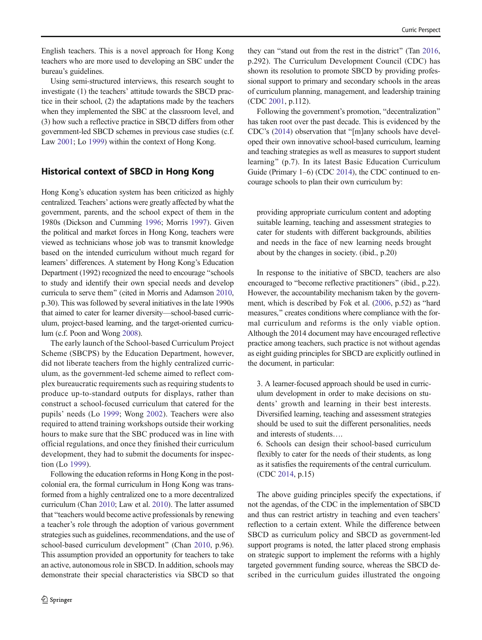English teachers. This is a novel approach for Hong Kong teachers who are more used to developing an SBC under the bureau's guidelines.

Using semi-structured interviews, this research sought to investigate (1) the teachers' attitude towards the SBCD practice in their school, (2) the adaptations made by the teachers when they implemented the SBC at the classroom level, and (3) how such a reflective practice in SBCD differs from other government-led SBCD schemes in previous case studies (c.f. Law [2001;](#page-10-0) Lo [1999\)](#page-10-0) within the context of Hong Kong.

## Historical context of SBCD in Hong Kong

Hong Kong's education system has been criticized as highly centralized. Teachers' actions were greatly affected by what the government, parents, and the school expect of them in the 1980s (Dickson and Cumming [1996](#page-9-0); Morris [1997\)](#page-10-0). Given the political and market forces in Hong Kong, teachers were viewed as technicians whose job was to transmit knowledge based on the intended curriculum without much regard for learners' differences. A statement by Hong Kong's Education Department (1992) recognized the need to encourage "schools to study and identify their own special needs and develop curricula to serve them^ (cited in Morris and Adamson [2010,](#page-10-0) p.30). This was followed by several initiatives in the late 1990s that aimed to cater for learner diversity—school-based curriculum, project-based learning, and the target-oriented curriculum (c.f. Poon and Wong [2008\)](#page-10-0).

The early launch of the School-based Curriculum Project Scheme (SBCPS) by the Education Department, however, did not liberate teachers from the highly centralized curriculum, as the government-led scheme aimed to reflect complex bureaucratic requirements such as requiring students to produce up-to-standard outputs for displays, rather than construct a school-focused curriculum that catered for the pupils' needs (Lo [1999](#page-10-0); Wong [2002](#page-10-0)). Teachers were also required to attend training workshops outside their working hours to make sure that the SBC produced was in line with official regulations, and once they finished their curriculum development, they had to submit the documents for inspection (Lo [1999\)](#page-10-0).

Following the education reforms in Hong Kong in the postcolonial era, the formal curriculum in Hong Kong was transformed from a highly centralized one to a more decentralized curriculum (Chan [2010;](#page-9-0) Law et al. [2010\)](#page-10-0). The latter assumed that "teachers would become active professionals by renewing a teacher's role through the adoption of various government strategies such as guidelines, recommendations, and the use of school-based curriculum development" (Chan [2010,](#page-9-0) p.96). This assumption provided an opportunity for teachers to take an active, autonomous role in SBCD. In addition, schools may demonstrate their special characteristics via SBCD so that

they can "stand out from the rest in the district" (Tan  $2016$ , p.292). The Curriculum Development Council (CDC) has shown its resolution to promote SBCD by providing professional support to primary and secondary schools in the areas of curriculum planning, management, and leadership training (CDC [2001,](#page-9-0) p.112).

Following the government's promotion, "decentralization" has taken root over the past decade. This is evidenced by the CDC's  $(2014)$  observation that "[m]any schools have developed their own innovative school-based curriculum, learning and teaching strategies as well as measures to support student learning" (p.7). In its latest Basic Education Curriculum Guide (Primary 1–6) (CDC [2014](#page-9-0)), the CDC continued to encourage schools to plan their own curriculum by:

providing appropriate curriculum content and adopting suitable learning, teaching and assessment strategies to cater for students with different backgrounds, abilities and needs in the face of new learning needs brought about by the changes in society. (ibid., p.20)

In response to the initiative of SBCD, teachers are also encouraged to "become reflective practitioners" (ibid., p.22). However, the accountability mechanism taken by the govern-ment, which is described by Fok et al. [\(2006,](#page-9-0) p.52) as "hard measures," creates conditions where compliance with the formal curriculum and reforms is the only viable option. Although the 2014 document may have encouraged reflective practice among teachers, such practice is not without agendas as eight guiding principles for SBCD are explicitly outlined in the document, in particular:

3. A learner-focused approach should be used in curriculum development in order to make decisions on students' growth and learning in their best interests. Diversified learning, teaching and assessment strategies should be used to suit the different personalities, needs and interests of students….

6. Schools can design their school-based curriculum flexibly to cater for the needs of their students, as long as it satisfies the requirements of the central curriculum. (CDC [2014](#page-9-0), p.15)

The above guiding principles specify the expectations, if not the agendas, of the CDC in the implementation of SBCD and thus can restrict artistry in teaching and even teachers' reflection to a certain extent. While the difference between SBCD as curriculum policy and SBCD as government-led support programs is noted, the latter placed strong emphasis on strategic support to implement the reforms with a highly targeted government funding source, whereas the SBCD described in the curriculum guides illustrated the ongoing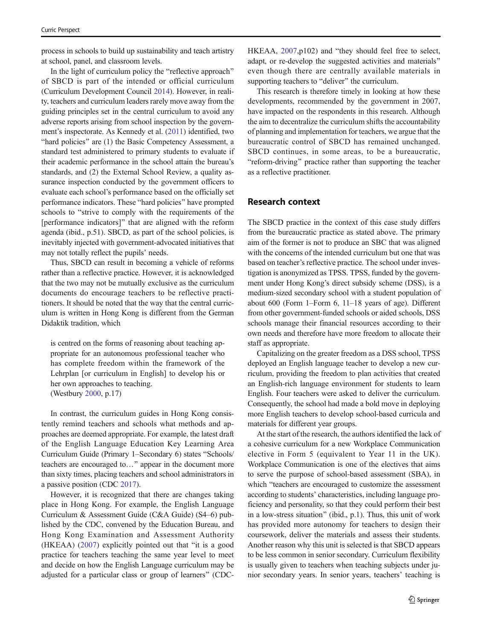process in schools to build up sustainability and teach artistry at school, panel, and classroom levels.

In the light of curriculum policy the "reflective approach" of SBCD is part of the intended or official curriculum (Curriculum Development Council [2014\)](#page-9-0). However, in reality, teachers and curriculum leaders rarely move away from the guiding principles set in the central curriculum to avoid any adverse reports arising from school inspection by the government's inspectorate. As Kennedy et al. [\(2011\)](#page-10-0) identified, two "hard policies" are  $(1)$  the Basic Competency Assessment, a standard test administered to primary students to evaluate if their academic performance in the school attain the bureau's standards, and (2) the External School Review, a quality assurance inspection conducted by the government officers to evaluate each school's performance based on the officially set performance indicators. These "hard policies" have prompted schools to "strive to comply with the requirements of the [performance indicators]" that are aligned with the reform agenda (ibid., p.51). SBCD, as part of the school policies, is inevitably injected with government-advocated initiatives that may not totally reflect the pupils' needs.

Thus, SBCD can result in becoming a vehicle of reforms rather than a reflective practice. However, it is acknowledged that the two may not be mutually exclusive as the curriculum documents do encourage teachers to be reflective practitioners. It should be noted that the way that the central curriculum is written in Hong Kong is different from the German Didaktik tradition, which

is centred on the forms of reasoning about teaching appropriate for an autonomous professional teacher who has complete freedom within the framework of the Lehrplan [or curriculum in English] to develop his or her own approaches to teaching. (Westbury [2000,](#page-10-0) p.17)

In contrast, the curriculum guides in Hong Kong consistently remind teachers and schools what methods and approaches are deemed appropriate. For example, the latest draft of the English Language Education Key Learning Area Curriculum Guide (Primary 1–Secondary 6) states "Schools/ teachers are encouraged to..." appear in the document more than sixty times, placing teachers and school administrators in a passive position (CDC [2017](#page-9-0)).

However, it is recognized that there are changes taking place in Hong Kong. For example, the English Language Curriculum & Assessment Guide (C&A Guide) (S4–6) published by the CDC, convened by the Education Bureau, and Hong Kong Examination and Assessment Authority  $(HKEAA)$  [\(2007](#page-9-0)) explicitly pointed out that "it is a good practice for teachers teaching the same year level to meet and decide on how the English Language curriculum may be adjusted for a particular class or group of learners^ (CDC-

HKEAA,  $2007 \text{,} 102$  $2007 \text{,} 102$  and "they should feel free to select, adapt, or re-develop the suggested activities and materials" even though there are centrally available materials in supporting teachers to "deliver" the curriculum.

This research is therefore timely in looking at how these developments, recommended by the government in 2007, have impacted on the respondents in this research. Although the aim to decentralize the curriculum shifts the accountability of planning and implementation for teachers, we argue that the bureaucratic control of SBCD has remained unchanged. SBCD continues, in some areas, to be a bureaucratic, "reform-driving" practice rather than supporting the teacher as a reflective practitioner.

#### Research context

The SBCD practice in the context of this case study differs from the bureaucratic practice as stated above. The primary aim of the former is not to produce an SBC that was aligned with the concerns of the intended curriculum but one that was based on teacher's reflective practice. The school under investigation is anonymized as TPSS. TPSS, funded by the government under Hong Kong's direct subsidy scheme (DSS), is a medium-sized secondary school with a student population of about 600 (Form 1–Form 6, 11–18 years of age). Different from other government-funded schools or aided schools, DSS schools manage their financial resources according to their own needs and therefore have more freedom to allocate their staff as appropriate.

Capitalizing on the greater freedom as a DSS school, TPSS deployed an English language teacher to develop a new curriculum, providing the freedom to plan activities that created an English-rich language environment for students to learn English. Four teachers were asked to deliver the curriculum. Consequently, the school had made a bold move in deploying more English teachers to develop school-based curricula and materials for different year groups.

At the start of the research, the authors identified the lack of a cohesive curriculum for a new Workplace Communication elective in Form 5 (equivalent to Year 11 in the UK). Workplace Communication is one of the electives that aims to serve the purpose of school-based assessment (SBA), in which "teachers are encouraged to customize the assessment according to students' characteristics, including language proficiency and personality, so that they could perform their best in a low-stress situation" (ibid., p.1). Thus, this unit of work has provided more autonomy for teachers to design their coursework, deliver the materials and assess their students. Another reason why this unit is selected is that SBCD appears to be less common in senior secondary. Curriculum flexibility is usually given to teachers when teaching subjects under junior secondary years. In senior years, teachers' teaching is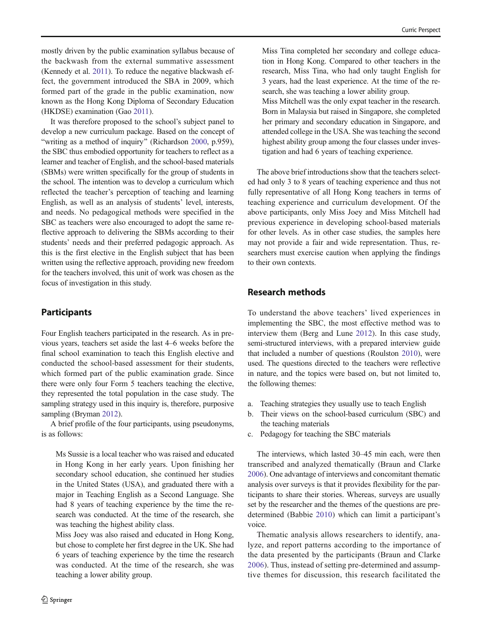mostly driven by the public examination syllabus because of the backwash from the external summative assessment (Kennedy et al. [2011\)](#page-10-0). To reduce the negative blackwash effect, the government introduced the SBA in 2009, which formed part of the grade in the public examination, now known as the Hong Kong Diploma of Secondary Education (HKDSE) examination (Gao [2011](#page-10-0)).

It was therefore proposed to the school's subject panel to develop a new curriculum package. Based on the concept of "writing as a method of inquiry" (Richardson [2000,](#page-10-0) p.959), the SBC thus embodied opportunity for teachers to reflect as a learner and teacher of English, and the school-based materials (SBMs) were written specifically for the group of students in the school. The intention was to develop a curriculum which reflected the teacher's perception of teaching and learning English, as well as an analysis of students' level, interests, and needs. No pedagogical methods were specified in the SBC as teachers were also encouraged to adopt the same reflective approach to delivering the SBMs according to their students' needs and their preferred pedagogic approach. As this is the first elective in the English subject that has been written using the reflective approach, providing new freedom for the teachers involved, this unit of work was chosen as the focus of investigation in this study.

# **Participants**

Four English teachers participated in the research. As in previous years, teachers set aside the last 4–6 weeks before the final school examination to teach this English elective and conducted the school-based assessment for their students, which formed part of the public examination grade. Since there were only four Form 5 teachers teaching the elective, they represented the total population in the case study. The sampling strategy used in this inquiry is, therefore, purposive sampling (Bryman [2012\)](#page-9-0).

A brief profile of the four participants, using pseudonyms, is as follows:

Ms Sussie is a local teacher who was raised and educated in Hong Kong in her early years. Upon finishing her secondary school education, she continued her studies in the United States (USA), and graduated there with a major in Teaching English as a Second Language. She had 8 years of teaching experience by the time the research was conducted. At the time of the research, she was teaching the highest ability class.

Miss Joey was also raised and educated in Hong Kong, but chose to complete her first degree in the UK. She had 6 years of teaching experience by the time the research was conducted. At the time of the research, she was teaching a lower ability group.

Miss Tina completed her secondary and college education in Hong Kong. Compared to other teachers in the research, Miss Tina, who had only taught English for 3 years, had the least experience. At the time of the research, she was teaching a lower ability group.

Miss Mitchell was the only expat teacher in the research. Born in Malaysia but raised in Singapore, she completed her primary and secondary education in Singapore, and attended college in the USA. She was teaching the second highest ability group among the four classes under investigation and had 6 years of teaching experience.

The above brief introductions show that the teachers selected had only 3 to 8 years of teaching experience and thus not fully representative of all Hong Kong teachers in terms of teaching experience and curriculum development. Of the above participants, only Miss Joey and Miss Mitchell had previous experience in developing school-based materials for other levels. As in other case studies, the samples here may not provide a fair and wide representation. Thus, researchers must exercise caution when applying the findings to their own contexts.

# Research methods

To understand the above teachers' lived experiences in implementing the SBC, the most effective method was to interview them (Berg and Lune [2012](#page-9-0)). In this case study, semi-structured interviews, with a prepared interview guide that included a number of questions (Roulston [2010](#page-10-0)), were used. The questions directed to the teachers were reflective in nature, and the topics were based on, but not limited to, the following themes:

- a. Teaching strategies they usually use to teach English
- b. Their views on the school-based curriculum (SBC) and the teaching materials
- c. Pedagogy for teaching the SBC materials

The interviews, which lasted 30–45 min each, were then transcribed and analyzed thematically (Braun and Clarke [2006\)](#page-9-0). One advantage of interviews and concomitant thematic analysis over surveys is that it provides flexibility for the participants to share their stories. Whereas, surveys are usually set by the researcher and the themes of the questions are predetermined (Babbie [2010\)](#page-9-0) which can limit a participant's voice.

Thematic analysis allows researchers to identify, analyze, and report patterns according to the importance of the data presented by the participants (Braun and Clarke [2006](#page-9-0)). Thus, instead of setting pre-determined and assumptive themes for discussion, this research facilitated the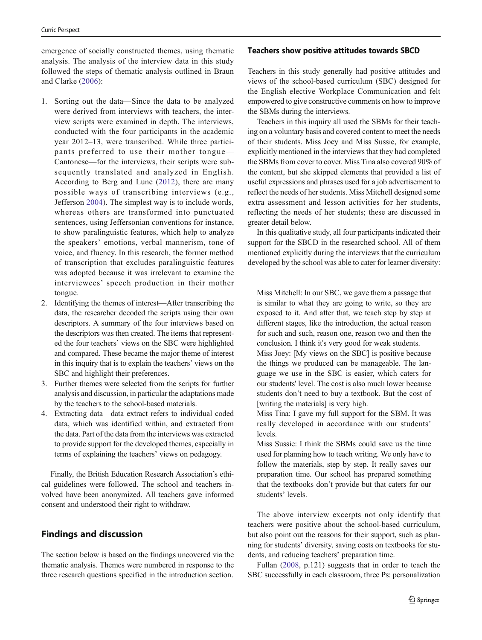emergence of socially constructed themes, using thematic analysis. The analysis of the interview data in this study followed the steps of thematic analysis outlined in Braun and Clarke ([2006](#page-9-0)):

- 1. Sorting out the data—Since the data to be analyzed were derived from interviews with teachers, the interview scripts were examined in depth. The interviews, conducted with the four participants in the academic year 2012–13, were transcribed. While three participants preferred to use their mother tongue— Cantonese—for the interviews, their scripts were subsequently translated and analyzed in English. According to Berg and Lune ([2012\)](#page-9-0), there are many possible ways of transcribing interviews (e.g., Jefferson [2004](#page-10-0)). The simplest way is to include words, whereas others are transformed into punctuated sentences, using Jeffersonian conventions for instance, to show paralinguistic features, which help to analyze the speakers' emotions, verbal mannerism, tone of voice, and fluency. In this research, the former method of transcription that excludes paralinguistic features was adopted because it was irrelevant to examine the interviewees' speech production in their mother tongue.
- 2. Identifying the themes of interest—After transcribing the data, the researcher decoded the scripts using their own descriptors. A summary of the four interviews based on the descriptors was then created. The items that represented the four teachers' views on the SBC were highlighted and compared. These became the major theme of interest in this inquiry that is to explain the teachers' views on the SBC and highlight their preferences.
- 3. Further themes were selected from the scripts for further analysis and discussion, in particular the adaptations made by the teachers to the school-based materials.
- 4. Extracting data—data extract refers to individual coded data, which was identified within, and extracted from the data. Part of the data from the interviews was extracted to provide support for the developed themes, especially in terms of explaining the teachers' views on pedagogy.

Finally, the British Education Research Association's ethical guidelines were followed. The school and teachers involved have been anonymized. All teachers gave informed consent and understood their right to withdraw.

# Findings and discussion

The section below is based on the findings uncovered via the thematic analysis. Themes were numbered in response to the three research questions specified in the introduction section.

#### Teachers show positive attitudes towards SBCD

Teachers in this study generally had positive attitudes and views of the school-based curriculum (SBC) designed for the English elective Workplace Communication and felt empowered to give constructive comments on how to improve the SBMs during the interviews.

Teachers in this inquiry all used the SBMs for their teaching on a voluntary basis and covered content to meet the needs of their students. Miss Joey and Miss Sussie, for example, explicitly mentioned in the interviews that they had completed the SBMs from cover to cover. Miss Tina also covered 90% of the content, but she skipped elements that provided a list of useful expressions and phrases used for a job advertisement to reflect the needs of her students. Miss Mitchell designed some extra assessment and lesson activities for her students, reflecting the needs of her students; these are discussed in greater detail below.

In this qualitative study, all four participants indicated their support for the SBCD in the researched school. All of them mentioned explicitly during the interviews that the curriculum developed by the school was able to cater for learner diversity:

Miss Mitchell: In our SBC, we gave them a passage that is similar to what they are going to write, so they are exposed to it. And after that, we teach step by step at different stages, like the introduction, the actual reason for such and such, reason one, reason two and then the conclusion. I think it's very good for weak students.

Miss Joey: [My views on the SBC] is positive because the things we produced can be manageable. The language we use in the SBC is easier, which caters for our students' level. The cost is also much lower because students don't need to buy a textbook. But the cost of [writing the materials] is very high.

Miss Tina: I gave my full support for the SBM. It was really developed in accordance with our students' levels.

Miss Sussie: I think the SBMs could save us the time used for planning how to teach writing. We only have to follow the materials, step by step. It really saves our preparation time. Our school has prepared something that the textbooks don't provide but that caters for our students' levels.

The above interview excerpts not only identify that teachers were positive about the school-based curriculum, but also point out the reasons for their support, such as planning for students' diversity, saving costs on textbooks for students, and reducing teachers' preparation time.

Fullan ([2008](#page-9-0), p.121) suggests that in order to teach the SBC successfully in each classroom, three Ps: personalization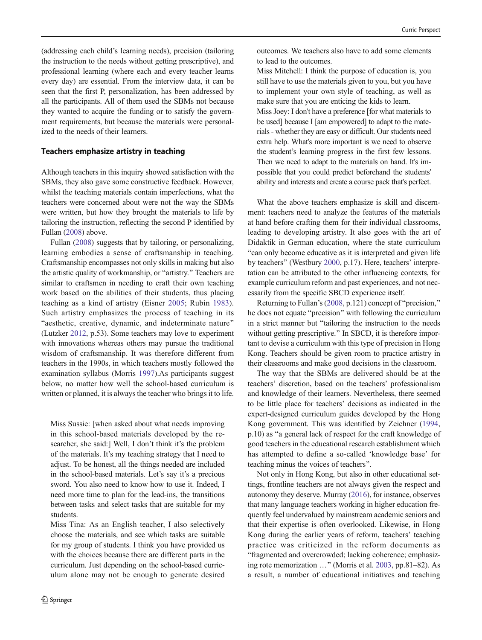(addressing each child's learning needs), precision (tailoring the instruction to the needs without getting prescriptive), and professional learning (where each and every teacher learns every day) are essential. From the interview data, it can be seen that the first P, personalization, has been addressed by all the participants. All of them used the SBMs not because they wanted to acquire the funding or to satisfy the government requirements, but because the materials were personalized to the needs of their learners.

## Teachers emphasize artistry in teaching

Although teachers in this inquiry showed satisfaction with the SBMs, they also gave some constructive feedback. However, whilst the teaching materials contain imperfections, what the teachers were concerned about were not the way the SBMs were written, but how they brought the materials to life by tailoring the instruction, reflecting the second P identified by Fullan ([2008](#page-9-0)) above.

Fullan [\(2008\)](#page-9-0) suggests that by tailoring, or personalizing, learning embodies a sense of craftsmanship in teaching. Craftsmanship encompasses not only skills in making but also the artistic quality of workmanship, or "artistry." Teachers are similar to craftsmen in needing to craft their own teaching work based on the abilities of their students, thus placing teaching as a kind of artistry (Eisner [2005](#page-9-0); Rubin [1983](#page-10-0)). Such artistry emphasizes the process of teaching in its "aesthetic, creative, dynamic, and indeterminate nature" (Lutzker [2012](#page-10-0), p.53). Some teachers may love to experiment with innovations whereas others may pursue the traditional wisdom of craftsmanship. It was therefore different from teachers in the 1990s, in which teachers mostly followed the examination syllabus (Morris [1997](#page-10-0)).As participants suggest below, no matter how well the school-based curriculum is written or planned, it is always the teacher who brings it to life.

Miss Sussie: [when asked about what needs improving in this school-based materials developed by the researcher, she said:] Well, I don't think it's the problem of the materials. It's my teaching strategy that I need to adjust. To be honest, all the things needed are included in the school-based materials. Let's say it's a precious sword. You also need to know how to use it. Indeed, I need more time to plan for the lead-ins, the transitions between tasks and select tasks that are suitable for my students.

Miss Tina: As an English teacher, I also selectively choose the materials, and see which tasks are suitable for my group of students. I think you have provided us with the choices because there are different parts in the curriculum. Just depending on the school-based curriculum alone may not be enough to generate desired outcomes. We teachers also have to add some elements to lead to the outcomes.

Miss Mitchell: I think the purpose of education is, you still have to use the materials given to you, but you have to implement your own style of teaching, as well as make sure that you are enticing the kids to learn. Miss Joey: I don't have a preference [for what materials to be used] because I [am empowered] to adapt to the materials - whether they are easy or difficult. Our students need extra help. What's more important is we need to observe the student's learning progress in the first few lessons. Then we need to adapt to the materials on hand. It's impossible that you could predict beforehand the students' ability and interests and create a course pack that's perfect.

What the above teachers emphasize is skill and discernment: teachers need to analyze the features of the materials at hand before crafting them for their individual classrooms, leading to developing artistry. It also goes with the art of Didaktik in German education, where the state curriculum "can only become educative as it is interpreted and given life" by teachers" (Westbury [2000,](#page-10-0) p.17). Here, teachers' interpretation can be attributed to the other influencing contexts, for example curriculum reform and past experiences, and not necessarily from the specific SBCD experience itself.

Returning to Fullan's  $(2008, p.121)$  $(2008, p.121)$  $(2008, p.121)$  concept of "precision," he does not equate "precision" with following the curriculum in a strict manner but "tailoring the instruction to the needs without getting prescriptive." In SBCD, it is therefore important to devise a curriculum with this type of precision in Hong Kong. Teachers should be given room to practice artistry in their classrooms and make good decisions in the classroom.

The way that the SBMs are delivered should be at the teachers' discretion, based on the teachers' professionalism and knowledge of their learners. Nevertheless, there seemed to be little place for teachers' decisions as indicated in the expert-designed curriculum guides developed by the Hong Kong government. This was identified by Zeichner ([1994,](#page-10-0) p.10) as "a general lack of respect for the craft knowledge of good teachers in the educational research establishment which has attempted to define a so-called 'knowledge base' for teaching minus the voices of teachers^.

Not only in Hong Kong, but also in other educational settings, frontline teachers are not always given the respect and autonomy they deserve. Murray [\(2016\)](#page-10-0), for instance, observes that many language teachers working in higher education frequently feel undervalued by mainstream academic seniors and that their expertise is often overlooked. Likewise, in Hong Kong during the earlier years of reform, teachers' teaching practice was criticized in the reform documents as "fragmented and overcrowded; lacking coherence; emphasiz-ing rote memorization ..." (Morris et al. [2003,](#page-10-0) pp.81–82). As a result, a number of educational initiatives and teaching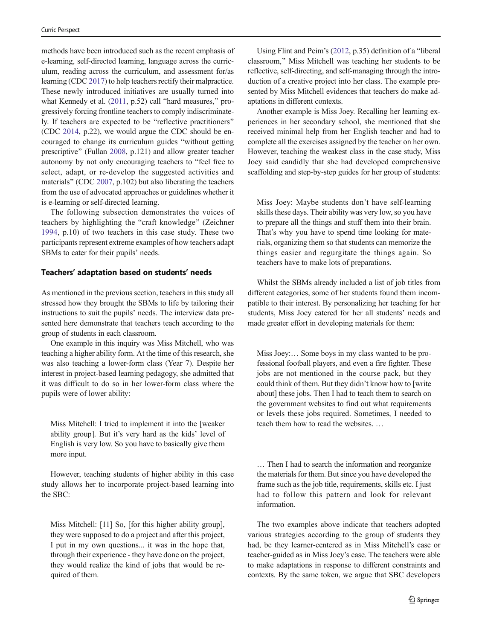methods have been introduced such as the recent emphasis of e-learning, self-directed learning, language across the curriculum, reading across the curriculum, and assessment for/as learning (CDC [2017](#page-9-0)) to help teachers rectify their malpractice. These newly introduced initiatives are usually turned into what Kennedy et al. ([2011](#page-10-0), p.52) call "hard measures," progressively forcing frontline teachers to comply indiscriminately. If teachers are expected to be "reflective practitioners" (CDC [2014](#page-9-0), p.22), we would argue the CDC should be encouraged to change its curriculum guides "without getting prescriptive" (Fullan [2008](#page-9-0), p.121) and allow greater teacher autonomy by not only encouraging teachers to "feel free to select, adapt, or re-develop the suggested activities and materials" (CDC [2007,](#page-9-0) p.102) but also liberating the teachers from the use of advocated approaches or guidelines whether it is e-learning or self-directed learning.

The following subsection demonstrates the voices of teachers by highlighting the "craft knowledge" (Zeichner [1994](#page-10-0), p.10) of two teachers in this case study. These two participants represent extreme examples of how teachers adapt SBMs to cater for their pupils' needs.

#### Teachers' adaptation based on students' needs

As mentioned in the previous section, teachers in this study all stressed how they brought the SBMs to life by tailoring their instructions to suit the pupils' needs. The interview data presented here demonstrate that teachers teach according to the group of students in each classroom.

One example in this inquiry was Miss Mitchell, who was teaching a higher ability form. At the time of this research, she was also teaching a lower-form class (Year 7). Despite her interest in project-based learning pedagogy, she admitted that it was difficult to do so in her lower-form class where the pupils were of lower ability:

Miss Mitchell: I tried to implement it into the [weaker ability group]. But it's very hard as the kids' level of English is very low. So you have to basically give them more input.

However, teaching students of higher ability in this case study allows her to incorporate project-based learning into the SBC:

Miss Mitchell: [11] So, [for this higher ability group], they were supposed to do a project and after this project, I put in my own questions... it was in the hope that, through their experience - they have done on the project, they would realize the kind of jobs that would be required of them.

Using Flint and Peim's  $(2012, p.35)$  $(2012, p.35)$  $(2012, p.35)$  definition of a "liberal classroom,^ Miss Mitchell was teaching her students to be reflective, self-directing, and self-managing through the introduction of a creative project into her class. The example presented by Miss Mitchell evidences that teachers do make adaptations in different contexts.

Another example is Miss Joey. Recalling her learning experiences in her secondary school, she mentioned that she received minimal help from her English teacher and had to complete all the exercises assigned by the teacher on her own. However, teaching the weakest class in the case study, Miss Joey said candidly that she had developed comprehensive scaffolding and step-by-step guides for her group of students:

Miss Joey: Maybe students don't have self-learning skills these days. Their ability was very low, so you have to prepare all the things and stuff them into their brain. That's why you have to spend time looking for materials, organizing them so that students can memorize the things easier and regurgitate the things again. So teachers have to make lots of preparations.

Whilst the SBMs already included a list of job titles from different categories, some of her students found them incompatible to their interest. By personalizing her teaching for her students, Miss Joey catered for her all students' needs and made greater effort in developing materials for them:

Miss Joey:… Some boys in my class wanted to be professional football players, and even a fire fighter. These jobs are not mentioned in the course pack, but they could think of them. But they didn't know how to [write about] these jobs. Then I had to teach them to search on the government websites to find out what requirements or levels these jobs required. Sometimes, I needed to teach them how to read the websites. …

… Then I had to search the information and reorganize the materials for them. But since you have developed the frame such as the job title, requirements, skills etc. I just had to follow this pattern and look for relevant information.

The two examples above indicate that teachers adopted various strategies according to the group of students they had, be they learner-centered as in Miss Mitchell's case or teacher-guided as in Miss Joey's case. The teachers were able to make adaptations in response to different constraints and contexts. By the same token, we argue that SBC developers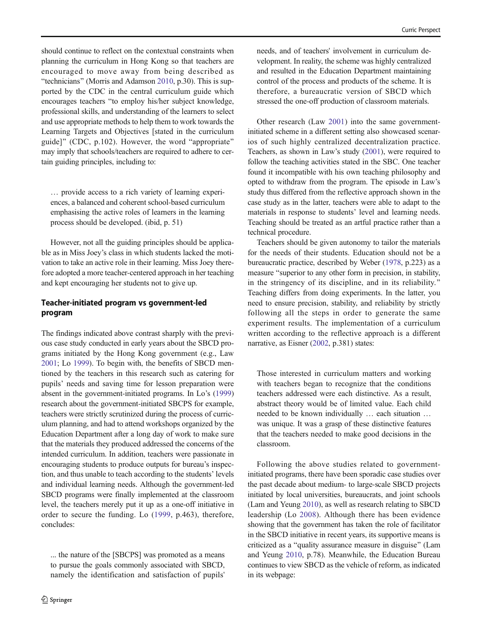should continue to reflect on the contextual constraints when planning the curriculum in Hong Kong so that teachers are encouraged to move away from being described as "technicians" (Morris and Adamson [2010](#page-10-0), p.30). This is supported by the CDC in the central curriculum guide which encourages teachers "to employ his/her subject knowledge, professional skills, and understanding of the learners to select and use appropriate methods to help them to work towards the Learning Targets and Objectives [stated in the curriculum guide]" (CDC, p.102). However, the word "appropriate" may imply that schools/teachers are required to adhere to certain guiding principles, including to:

… provide access to a rich variety of learning experiences, a balanced and coherent school-based curriculum emphasising the active roles of learners in the learning process should be developed. (ibid, p. 51)

However, not all the guiding principles should be applicable as in Miss Joey's class in which students lacked the motivation to take an active role in their learning. Miss Joey therefore adopted a more teacher-centered approach in her teaching and kept encouraging her students not to give up.

### Teacher-initiated program vs government-led program

The findings indicated above contrast sharply with the previous case study conducted in early years about the SBCD programs initiated by the Hong Kong government (e.g., Law [2001;](#page-10-0) Lo [1999](#page-10-0)). To begin with, the benefits of SBCD mentioned by the teachers in this research such as catering for pupils' needs and saving time for lesson preparation were absent in the government-initiated programs. In Lo's [\(1999\)](#page-10-0) research about the government-initiated SBCPS for example, teachers were strictly scrutinized during the process of curriculum planning, and had to attend workshops organized by the Education Department after a long day of work to make sure that the materials they produced addressed the concerns of the intended curriculum. In addition, teachers were passionate in encouraging students to produce outputs for bureau's inspection, and thus unable to teach according to the students' levels and individual learning needs. Although the government-led SBCD programs were finally implemented at the classroom level, the teachers merely put it up as a one-off initiative in order to secure the funding. Lo ([1999,](#page-10-0) p.463), therefore, concludes:

needs, and of teachers' involvement in curriculum development. In reality, the scheme was highly centralized and resulted in the Education Department maintaining control of the process and products of the scheme. It is therefore, a bureaucratic version of SBCD which stressed the one-off production of classroom materials.

Other research (Law [2001](#page-10-0)) into the same governmentinitiated scheme in a different setting also showcased scenarios of such highly centralized decentralization practice. Teachers, as shown in Law's study [\(2001\)](#page-10-0), were required to follow the teaching activities stated in the SBC. One teacher found it incompatible with his own teaching philosophy and opted to withdraw from the program. The episode in Law's study thus differed from the reflective approach shown in the case study as in the latter, teachers were able to adapt to the materials in response to students' level and learning needs. Teaching should be treated as an artful practice rather than a technical procedure.

Teachers should be given autonomy to tailor the materials for the needs of their students. Education should not be a bureaucratic practice, described by Weber [\(1978,](#page-10-0) p.223) as a measure "superior to any other form in precision, in stability, in the stringency of its discipline, and in its reliability.<sup>"</sup> Teaching differs from doing experiments. In the latter, you need to ensure precision, stability, and reliability by strictly following all the steps in order to generate the same experiment results. The implementation of a curriculum written according to the reflective approach is a different narrative, as Eisner [\(2002,](#page-9-0) p.381) states:

Those interested in curriculum matters and working with teachers began to recognize that the conditions teachers addressed were each distinctive. As a result, abstract theory would be of limited value. Each child needed to be known individually … each situation … was unique. It was a grasp of these distinctive features that the teachers needed to make good decisions in the classroom.

Following the above studies related to governmentinitiated programs, there have been sporadic case studies over the past decade about medium- to large-scale SBCD projects initiated by local universities, bureaucrats, and joint schools (Lam and Yeung [2010\)](#page-10-0), as well as research relating to SBCD leadership (Lo [2008\)](#page-10-0). Although there has been evidence showing that the government has taken the role of facilitator in the SBCD initiative in recent years, its supportive means is criticized as a "quality assurance measure in disguise" (Lam and Yeung [2010](#page-10-0), p.78). Meanwhile, the Education Bureau continues to view SBCD as the vehicle of reform, as indicated in its webpage: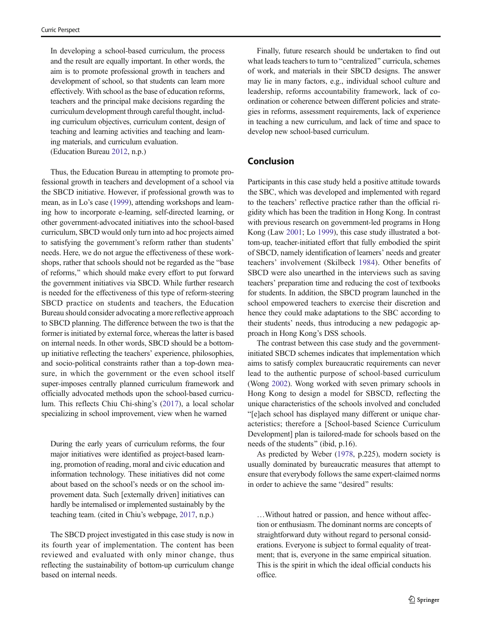In developing a school-based curriculum, the process and the result are equally important. In other words, the aim is to promote professional growth in teachers and development of school, so that students can learn more effectively. With school as the base of education reforms, teachers and the principal make decisions regarding the curriculum development through careful thought, including curriculum objectives, curriculum content, design of teaching and learning activities and teaching and learning materials, and curriculum evaluation.

(Education Bureau [2012,](#page-9-0) n.p.)

Thus, the Education Bureau in attempting to promote professional growth in teachers and development of a school via the SBCD initiative. However, if professional growth was to mean, as in Lo's case [\(1999](#page-10-0)), attending workshops and learning how to incorporate e-learning, self-directed learning, or other government-advocated initiatives into the school-based curriculum, SBCD would only turn into ad hoc projects aimed to satisfying the government's reform rather than students' needs. Here, we do not argue the effectiveness of these workshops, rather that schools should not be regarded as the "base" of reforms,^ which should make every effort to put forward the government initiatives via SBCD. While further research is needed for the effectiveness of this type of reform-steering SBCD practice on students and teachers, the Education Bureau should consider advocating a more reflective approach to SBCD planning. The difference between the two is that the former is initiated by external force, whereas the latter is based on internal needs. In other words, SBCD should be a bottomup initiative reflecting the teachers' experience, philosophies, and socio-political constraints rather than a top-down measure, in which the government or the even school itself super-imposes centrally planned curriculum framework and officially advocated methods upon the school-based curriculum. This reflects Chiu Chi-shing's ([2017\)](#page-9-0), a local scholar specializing in school improvement, view when he warned

During the early years of curriculum reforms, the four major initiatives were identified as project-based learning, promotion of reading, moral and civic education and information technology. These initiatives did not come about based on the school's needs or on the school improvement data. Such [externally driven] initiatives can hardly be internalised or implemented sustainably by the teaching team. (cited in Chiu's webpage, [2017](#page-9-0), n.p.)

The SBCD project investigated in this case study is now in its fourth year of implementation. The content has been reviewed and evaluated with only minor change, thus reflecting the sustainability of bottom-up curriculum change based on internal needs.

Finally, future research should be undertaken to find out what leads teachers to turn to "centralized" curricula, schemes of work, and materials in their SBCD designs. The answer may lie in many factors, e.g., individual school culture and leadership, reforms accountability framework, lack of coordination or coherence between different policies and strategies in reforms, assessment requirements, lack of experience in teaching a new curriculum, and lack of time and space to develop new school-based curriculum.

# Conclusion

Participants in this case study held a positive attitude towards the SBC, which was developed and implemented with regard to the teachers' reflective practice rather than the official rigidity which has been the tradition in Hong Kong. In contrast with previous research on government-led programs in Hong Kong (Law [2001;](#page-10-0) Lo [1999](#page-10-0)), this case study illustrated a bottom-up, teacher-initiated effort that fully embodied the spirit of SBCD, namely identification of learners' needs and greater teachers' involvement (Skilbeck [1984\)](#page-10-0). Other benefits of SBCD were also unearthed in the interviews such as saving teachers' preparation time and reducing the cost of textbooks for students. In addition, the SBCD program launched in the school empowered teachers to exercise their discretion and hence they could make adaptations to the SBC according to their students' needs, thus introducing a new pedagogic approach in Hong Kong's DSS schools.

The contrast between this case study and the governmentinitiated SBCD schemes indicates that implementation which aims to satisfy complex bureaucratic requirements can never lead to the authentic purpose of school-based curriculum (Wong [2002\)](#page-10-0). Wong worked with seven primary schools in Hong Kong to design a model for SBSCD, reflecting the unique characteristics of the schools involved and concluded "[e]ach school has displayed many different or unique characteristics; therefore a [School-based Science Curriculum Development] plan is tailored-made for schools based on the needs of the students" (ibid, p.16).

As predicted by Weber ([1978](#page-10-0), p.225), modern society is usually dominated by bureaucratic measures that attempt to ensure that everybody follows the same expert-claimed norms in order to achieve the same "desired" results:

…Without hatred or passion, and hence without affection or enthusiasm. The dominant norms are concepts of straightforward duty without regard to personal considerations. Everyone is subject to formal equality of treatment; that is, everyone in the same empirical situation. This is the spirit in which the ideal official conducts his office.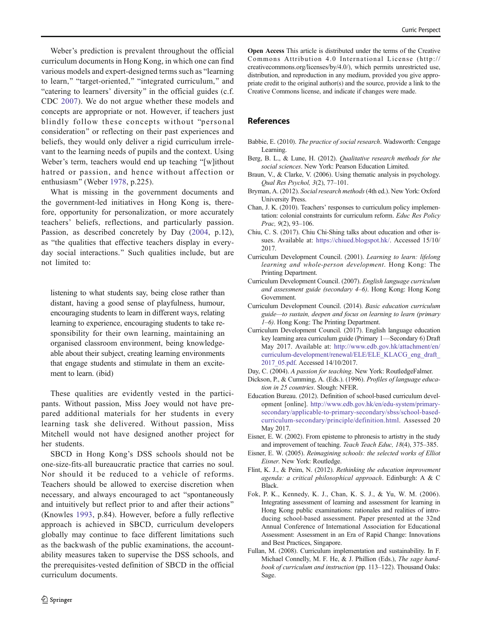<span id="page-9-0"></span>Weber's prediction is prevalent throughout the official curriculum documents in Hong Kong, in which one can find various models and expert-designed terms such as "learning" to learn," "target-oriented," "integrated curriculum," and "catering to learners' diversity" in the official guides (c.f. CDC 2007). We do not argue whether these models and concepts are appropriate or not. However, if teachers just blindly follow these concepts without "personal consideration" or reflecting on their past experiences and beliefs, they would only deliver a rigid curriculum irrelevant to the learning needs of pupils and the context. Using Weber's term, teachers would end up teaching "[w]ithout hatred or passion, and hence without affection or enthusiasm" (Weber [1978](#page-10-0), p.225).

What is missing in the government documents and the government-led initiatives in Hong Kong is, therefore, opportunity for personalization, or more accurately teachers' beliefs, reflections, and particularly passion. Passion, as described concretely by Day (2004, p.12), as "the qualities that effective teachers display in everyday social interactions." Such qualities include, but are not limited to:

listening to what students say, being close rather than distant, having a good sense of playfulness, humour, encouraging students to learn in different ways, relating learning to experience, encouraging students to take responsibility for their own learning, maintaining an organised classroom environment, being knowledgeable about their subject, creating learning environments that engage students and stimulate in them an excitement to learn. (ibid)

These qualities are evidently vested in the participants. Without passion, Miss Joey would not have prepared additional materials for her students in every learning task she delivered. Without passion, Miss Mitchell would not have designed another project for her students.

SBCD in Hong Kong's DSS schools should not be one-size-fits-all bureaucratic practice that carries no soul. Nor should it be reduced to a vehicle of reforms. Teachers should be allowed to exercise discretion when necessary, and always encouraged to act "spontaneously and intuitively but reflect prior to and after their actions" (Knowles [1993](#page-10-0), p.84). However, before a fully reflective approach is achieved in SBCD, curriculum developers globally may continue to face different limitations such as the backwash of the public examinations, the accountability measures taken to supervise the DSS schools, and the prerequisites-vested definition of SBCD in the official curriculum documents.

Open Access This article is distributed under the terms of the Creative Commons Attribution 4.0 International License (http:// creativecommons.org/licenses/by/4.0/), which permits unrestricted use, distribution, and reproduction in any medium, provided you give appropriate credit to the original author(s) and the source, provide a link to the Creative Commons license, and indicate if changes were made.

#### References

- Babbie, E. (2010). The practice of social research. Wadsworth: Cengage Learning.
- Berg, B. L., & Lune, H. (2012). Qualitative research methods for the social sciences. New York: Pearson Education Limited.
- Braun, V., & Clarke, V. (2006). Using thematic analysis in psychology. Qual Res Psychol, 3(2), 77–101.
- Bryman, A. (2012). Social research methods(4th ed.). New York: Oxford University Press.
- Chan, J. K. (2010). Teachers' responses to curriculum policy implementation: colonial constraints for curriculum reform. Educ Res Policy Prac, 9(2), 93-106.
- Chiu, C. S. (2017). Chiu Chi-Shing talks about education and other issues. Available at: [https://chiued.blogspot.hk/.](https://chiued.blogspot.hk/) Accessed 15/10/ 2017.
- Curriculum Development Council. (2001). Learning to learn: lifelong learning and whole-person development. Hong Kong: The Printing Department.
- Curriculum Development Council. (2007). English language curriculum and assessment guide (secondary 4–6). Hong Kong: Hong Kong Government.
- Curriculum Development Council. (2014). Basic education curriculum guide—to sustain, deepen and focus on learning to learn (primary 1–6). Hong Kong: The Printing Department.
- Curriculum Development Council. (2017). English language education key learning area curriculum guide (Primary 1—Secondary 6) Draft May 2017. Available at: [http://www.edb.gov.hk/attachment/en/](http://www.edb.gov.hk/attachment/en/curriculum-development/renewal/ELE/ELE_KLACG_eng_draft_2017_05.pdf) curriculum-development/renewal/ELE/ELE\_KLACG\_eng\_draft [2017\\_05.pdf.](http://www.edb.gov.hk/attachment/en/curriculum-development/renewal/ELE/ELE_KLACG_eng_draft_2017_05.pdf) Accessed 14/10/2017.
- Day, C. (2004). A passion for teaching. New York: RoutledgeFalmer.
- Dickson, P., & Cumming, A. (Eds.). (1996). Profiles of language education in 25 countries. Slough: NFER.
- Education Bureau. (2012). Definition of school-based curriculum development [online]. [http://www.edb.gov.hk/en/edu-system/primary](http://www.edb.gov.hk/en/edu-system/primary-secondary/applicable-to-primary-secondary/sbss/school-based-curriculum-secondary/principle/definition.html)[secondary/applicable-to-primary-secondary/sbss/school-based](http://www.edb.gov.hk/en/edu-system/primary-secondary/applicable-to-primary-secondary/sbss/school-based-curriculum-secondary/principle/definition.html)[curriculum-secondary/principle/definition.html](http://www.edb.gov.hk/en/edu-system/primary-secondary/applicable-to-primary-secondary/sbss/school-based-curriculum-secondary/principle/definition.html). Assessed 20 May 2017.
- Eisner, E. W. (2002). From episteme to phronesis to artistry in the study and improvement of teaching. Teach Teach Educ, 18(4), 375–385.
- Eisner, E. W. (2005). Reimagining schools: the selected works of Elliot Eisner. New York: Routledge.
- Flint, K. J., & Peim, N. (2012). Rethinking the education improvement agenda: a critical philosophical approach. Edinburgh: A & C Black.
- Fok, P. K., Kennedy, K. J., Chan, K. S. J., & Yu, W. M. (2006). Integrating assessment of learning and assessment for learning in Hong Kong public examinations: rationales and realities of introducing school-based assessment. Paper presented at the 32nd Annual Conference of International Association for Educational Assessment: Assessment in an Era of Rapid Change: Innovations and Best Practices, Singapore.
- Fullan, M. (2008). Curriculum implementation and sustainability. In F. Michael Connelly, M. F. He, & J. Phillion (Eds.), The sage handbook of curriculum and instruction (pp. 113–122). Thousand Oaks: Sage.